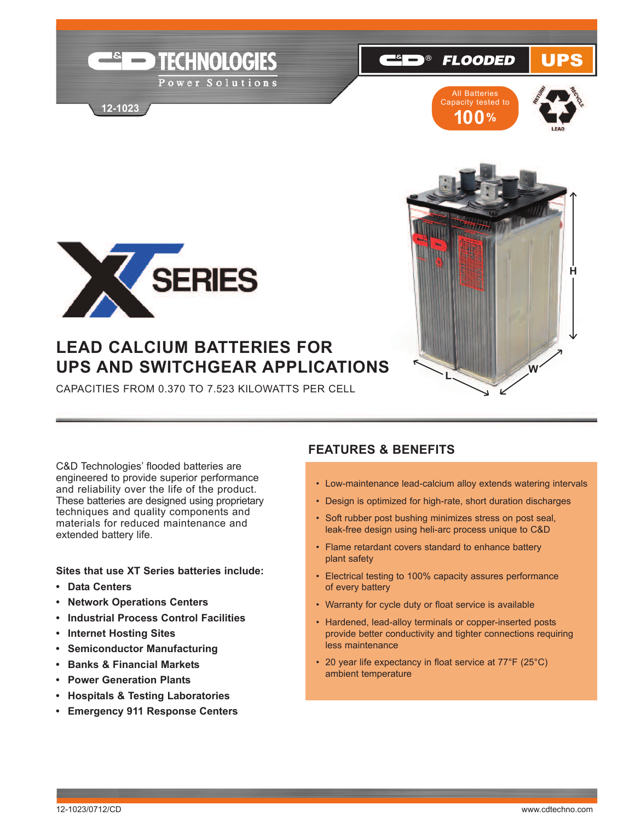

**12-1023**



**FLOODED** 

 $\begin{array}{ccc} \bullet & \bullet & \bullet \end{array}$ 

UPS





# **LEAD CALCIUM BATTERIES FOR UPS AND SWITCHGEAR APPLICATIONS**

CAPACiTieS froM 0.370 To 7.523 KiLowATTS Per CeLL

C&D Technologies' flooded batteries are engineered to provide superior performance and reliability over the life of the product. These batteries are designed using proprietary techniques and quality components and materials for reduced maintenance and extended battery life.

### **Sites that use XT Series batteries include:**

- **• Data Centers**
- **• Network Operations Centers**
- **• Industrial Process Control Facilities**
- **• Internet Hosting Sites**
- **• Semiconductor Manufacturing**
- **• Banks & Financial Markets**
- **• Power Generation Plants**
- **• Hospitals & Testing Laboratories**
- **• Emergency 911 Response Centers**

## **FEATURES & BENEFITS**

- Low-maintenance lead-calcium alloy extends watering intervals
- Design is optimized for high-rate, short duration discharges
- Soft rubber post bushing minimizes stress on post seal, leak-free design using heli-arc process unique to C&D
- flame retardant covers standard to enhance battery plant safety
- Electrical testing to 100% capacity assures performance of every battery
- warranty for cycle duty or float service is available
- Hardened, lead-alloy terminals or copper-inserted posts provide better conductivity and tighter connections requiring less maintenance
- 20 year life expectancy in float service at 77°F (25°C) ambient temperature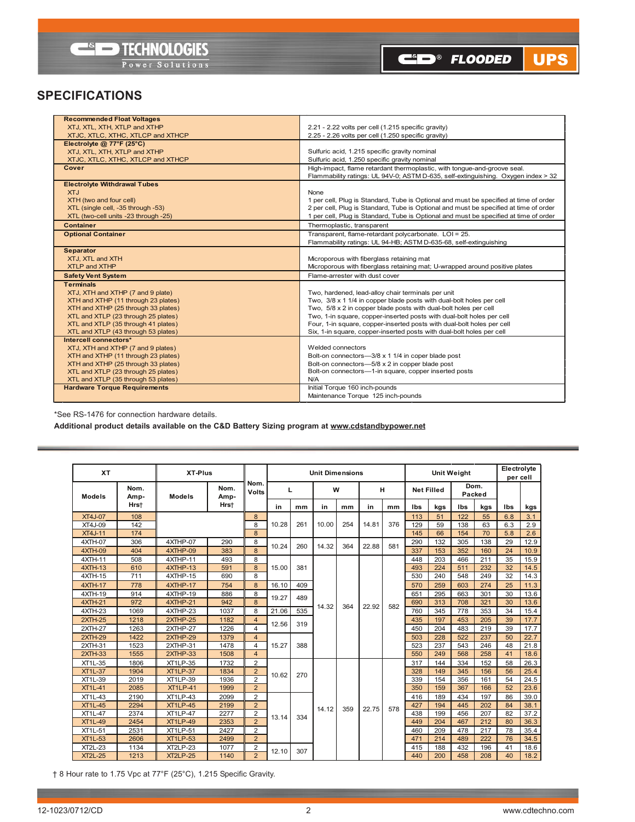

CO<sup>®</sup> FLOODED UPS

## **SPECIFICATIONS**

| 2.21 - 2.22 volts per cell (1.215 specific gravity)<br>XTJ, XTL, XTH, XTLP and XTHP<br>XTJC, XTLC, XTHC, XTLCP and XTHCP<br>2.25 - 2.26 volts per cell (1.250 specific gravity)<br>Electrolyte @ 77°F (25°C)<br>Sulfuric acid, 1.215 specific gravity nominal<br>XTJ, XTL, XTH, XTLP and XTHP<br>XTJC, XTLC, XTHC, XTLCP and XTHCP<br>Sulfuric acid, 1.250 specific gravity nominal<br>Cover<br>High-impact, flame retardant thermoplastic, with tongue-and-groove seal.<br>Flammability ratings: UL 94V-0; ASTM D-635, self-extinguishing. Oxygen index > 32<br><b>Electrolyte Withdrawal Tubes</b><br><b>XTJ</b><br>None<br>1 per cell, Plug is Standard, Tube is Optional and must be specified at time of order<br>XTH (two and four cell)<br>2 per cell, Plug is Standard, Tube is Optional and must be specified at time of order<br>XTL (single cell, -35 through -53)<br>1 per cell, Plug is Standard, Tube is Optional and must be specified at time of order<br>XTL (two-cell units -23 through -25)<br><b>Container</b><br>Thermoplastic, transparent<br><b>Optional Container</b><br>Transparent, flame-retardant polycarbonate. LOI = 25.<br>Flammability ratings: UL 94-HB; ASTM D-635-68, self-extinguishing<br><b>Separator</b><br>XTJ, XTL and XTH<br>Microporous with fiberglass retaining mat<br><b>XTLP and XTHP</b><br>Microporous with fiberglass retaining mat; U-wrapped around positive plates<br>Flame-arrester with dust cover<br><b>Safety Vent System</b><br><b>Terminals</b><br>XTJ, XTH and XTHP (7 and 9 plate)<br>Two, hardened, lead-alloy chair terminals per unit<br>Two, 3/8 x 1 1/4 in copper blade posts with dual-bolt holes per cell<br>XTH and XTHP (11 through 23 plates)<br>XTH and XTHP (25 through 33 plates)<br>Two, 5/8 x 2 in copper blade posts with dual-bolt holes per cell<br>XTL and XTLP (23 through 25 plates)<br>Two, 1-in square, copper-inserted posts with dual-bolt holes per cell<br>XTL and XTLP (35 through 41 plates)<br>Four, 1-in square, copper-inserted posts with dual-bolt holes per cell<br>Six, 1-in square, copper-inserted posts with dual-bolt holes per cell<br>XTL and XTLP (43 through 53 plates)<br>Intercell connectors* | <b>Recommended Float Voltages</b>  |                   |
|-----------------------------------------------------------------------------------------------------------------------------------------------------------------------------------------------------------------------------------------------------------------------------------------------------------------------------------------------------------------------------------------------------------------------------------------------------------------------------------------------------------------------------------------------------------------------------------------------------------------------------------------------------------------------------------------------------------------------------------------------------------------------------------------------------------------------------------------------------------------------------------------------------------------------------------------------------------------------------------------------------------------------------------------------------------------------------------------------------------------------------------------------------------------------------------------------------------------------------------------------------------------------------------------------------------------------------------------------------------------------------------------------------------------------------------------------------------------------------------------------------------------------------------------------------------------------------------------------------------------------------------------------------------------------------------------------------------------------------------------------------------------------------------------------------------------------------------------------------------------------------------------------------------------------------------------------------------------------------------------------------------------------------------------------------------------------------------------------------------------------------------------------------------------------------------------------------------|------------------------------------|-------------------|
|                                                                                                                                                                                                                                                                                                                                                                                                                                                                                                                                                                                                                                                                                                                                                                                                                                                                                                                                                                                                                                                                                                                                                                                                                                                                                                                                                                                                                                                                                                                                                                                                                                                                                                                                                                                                                                                                                                                                                                                                                                                                                                                                                                                                           |                                    |                   |
|                                                                                                                                                                                                                                                                                                                                                                                                                                                                                                                                                                                                                                                                                                                                                                                                                                                                                                                                                                                                                                                                                                                                                                                                                                                                                                                                                                                                                                                                                                                                                                                                                                                                                                                                                                                                                                                                                                                                                                                                                                                                                                                                                                                                           |                                    |                   |
|                                                                                                                                                                                                                                                                                                                                                                                                                                                                                                                                                                                                                                                                                                                                                                                                                                                                                                                                                                                                                                                                                                                                                                                                                                                                                                                                                                                                                                                                                                                                                                                                                                                                                                                                                                                                                                                                                                                                                                                                                                                                                                                                                                                                           |                                    |                   |
|                                                                                                                                                                                                                                                                                                                                                                                                                                                                                                                                                                                                                                                                                                                                                                                                                                                                                                                                                                                                                                                                                                                                                                                                                                                                                                                                                                                                                                                                                                                                                                                                                                                                                                                                                                                                                                                                                                                                                                                                                                                                                                                                                                                                           |                                    |                   |
|                                                                                                                                                                                                                                                                                                                                                                                                                                                                                                                                                                                                                                                                                                                                                                                                                                                                                                                                                                                                                                                                                                                                                                                                                                                                                                                                                                                                                                                                                                                                                                                                                                                                                                                                                                                                                                                                                                                                                                                                                                                                                                                                                                                                           |                                    |                   |
|                                                                                                                                                                                                                                                                                                                                                                                                                                                                                                                                                                                                                                                                                                                                                                                                                                                                                                                                                                                                                                                                                                                                                                                                                                                                                                                                                                                                                                                                                                                                                                                                                                                                                                                                                                                                                                                                                                                                                                                                                                                                                                                                                                                                           |                                    |                   |
|                                                                                                                                                                                                                                                                                                                                                                                                                                                                                                                                                                                                                                                                                                                                                                                                                                                                                                                                                                                                                                                                                                                                                                                                                                                                                                                                                                                                                                                                                                                                                                                                                                                                                                                                                                                                                                                                                                                                                                                                                                                                                                                                                                                                           |                                    |                   |
|                                                                                                                                                                                                                                                                                                                                                                                                                                                                                                                                                                                                                                                                                                                                                                                                                                                                                                                                                                                                                                                                                                                                                                                                                                                                                                                                                                                                                                                                                                                                                                                                                                                                                                                                                                                                                                                                                                                                                                                                                                                                                                                                                                                                           |                                    |                   |
|                                                                                                                                                                                                                                                                                                                                                                                                                                                                                                                                                                                                                                                                                                                                                                                                                                                                                                                                                                                                                                                                                                                                                                                                                                                                                                                                                                                                                                                                                                                                                                                                                                                                                                                                                                                                                                                                                                                                                                                                                                                                                                                                                                                                           |                                    |                   |
|                                                                                                                                                                                                                                                                                                                                                                                                                                                                                                                                                                                                                                                                                                                                                                                                                                                                                                                                                                                                                                                                                                                                                                                                                                                                                                                                                                                                                                                                                                                                                                                                                                                                                                                                                                                                                                                                                                                                                                                                                                                                                                                                                                                                           |                                    |                   |
|                                                                                                                                                                                                                                                                                                                                                                                                                                                                                                                                                                                                                                                                                                                                                                                                                                                                                                                                                                                                                                                                                                                                                                                                                                                                                                                                                                                                                                                                                                                                                                                                                                                                                                                                                                                                                                                                                                                                                                                                                                                                                                                                                                                                           |                                    |                   |
|                                                                                                                                                                                                                                                                                                                                                                                                                                                                                                                                                                                                                                                                                                                                                                                                                                                                                                                                                                                                                                                                                                                                                                                                                                                                                                                                                                                                                                                                                                                                                                                                                                                                                                                                                                                                                                                                                                                                                                                                                                                                                                                                                                                                           |                                    |                   |
|                                                                                                                                                                                                                                                                                                                                                                                                                                                                                                                                                                                                                                                                                                                                                                                                                                                                                                                                                                                                                                                                                                                                                                                                                                                                                                                                                                                                                                                                                                                                                                                                                                                                                                                                                                                                                                                                                                                                                                                                                                                                                                                                                                                                           |                                    |                   |
|                                                                                                                                                                                                                                                                                                                                                                                                                                                                                                                                                                                                                                                                                                                                                                                                                                                                                                                                                                                                                                                                                                                                                                                                                                                                                                                                                                                                                                                                                                                                                                                                                                                                                                                                                                                                                                                                                                                                                                                                                                                                                                                                                                                                           |                                    |                   |
|                                                                                                                                                                                                                                                                                                                                                                                                                                                                                                                                                                                                                                                                                                                                                                                                                                                                                                                                                                                                                                                                                                                                                                                                                                                                                                                                                                                                                                                                                                                                                                                                                                                                                                                                                                                                                                                                                                                                                                                                                                                                                                                                                                                                           |                                    |                   |
|                                                                                                                                                                                                                                                                                                                                                                                                                                                                                                                                                                                                                                                                                                                                                                                                                                                                                                                                                                                                                                                                                                                                                                                                                                                                                                                                                                                                                                                                                                                                                                                                                                                                                                                                                                                                                                                                                                                                                                                                                                                                                                                                                                                                           |                                    |                   |
|                                                                                                                                                                                                                                                                                                                                                                                                                                                                                                                                                                                                                                                                                                                                                                                                                                                                                                                                                                                                                                                                                                                                                                                                                                                                                                                                                                                                                                                                                                                                                                                                                                                                                                                                                                                                                                                                                                                                                                                                                                                                                                                                                                                                           |                                    |                   |
|                                                                                                                                                                                                                                                                                                                                                                                                                                                                                                                                                                                                                                                                                                                                                                                                                                                                                                                                                                                                                                                                                                                                                                                                                                                                                                                                                                                                                                                                                                                                                                                                                                                                                                                                                                                                                                                                                                                                                                                                                                                                                                                                                                                                           |                                    |                   |
|                                                                                                                                                                                                                                                                                                                                                                                                                                                                                                                                                                                                                                                                                                                                                                                                                                                                                                                                                                                                                                                                                                                                                                                                                                                                                                                                                                                                                                                                                                                                                                                                                                                                                                                                                                                                                                                                                                                                                                                                                                                                                                                                                                                                           |                                    |                   |
|                                                                                                                                                                                                                                                                                                                                                                                                                                                                                                                                                                                                                                                                                                                                                                                                                                                                                                                                                                                                                                                                                                                                                                                                                                                                                                                                                                                                                                                                                                                                                                                                                                                                                                                                                                                                                                                                                                                                                                                                                                                                                                                                                                                                           |                                    |                   |
|                                                                                                                                                                                                                                                                                                                                                                                                                                                                                                                                                                                                                                                                                                                                                                                                                                                                                                                                                                                                                                                                                                                                                                                                                                                                                                                                                                                                                                                                                                                                                                                                                                                                                                                                                                                                                                                                                                                                                                                                                                                                                                                                                                                                           |                                    |                   |
|                                                                                                                                                                                                                                                                                                                                                                                                                                                                                                                                                                                                                                                                                                                                                                                                                                                                                                                                                                                                                                                                                                                                                                                                                                                                                                                                                                                                                                                                                                                                                                                                                                                                                                                                                                                                                                                                                                                                                                                                                                                                                                                                                                                                           |                                    |                   |
|                                                                                                                                                                                                                                                                                                                                                                                                                                                                                                                                                                                                                                                                                                                                                                                                                                                                                                                                                                                                                                                                                                                                                                                                                                                                                                                                                                                                                                                                                                                                                                                                                                                                                                                                                                                                                                                                                                                                                                                                                                                                                                                                                                                                           |                                    |                   |
|                                                                                                                                                                                                                                                                                                                                                                                                                                                                                                                                                                                                                                                                                                                                                                                                                                                                                                                                                                                                                                                                                                                                                                                                                                                                                                                                                                                                                                                                                                                                                                                                                                                                                                                                                                                                                                                                                                                                                                                                                                                                                                                                                                                                           |                                    |                   |
|                                                                                                                                                                                                                                                                                                                                                                                                                                                                                                                                                                                                                                                                                                                                                                                                                                                                                                                                                                                                                                                                                                                                                                                                                                                                                                                                                                                                                                                                                                                                                                                                                                                                                                                                                                                                                                                                                                                                                                                                                                                                                                                                                                                                           |                                    |                   |
|                                                                                                                                                                                                                                                                                                                                                                                                                                                                                                                                                                                                                                                                                                                                                                                                                                                                                                                                                                                                                                                                                                                                                                                                                                                                                                                                                                                                                                                                                                                                                                                                                                                                                                                                                                                                                                                                                                                                                                                                                                                                                                                                                                                                           |                                    |                   |
|                                                                                                                                                                                                                                                                                                                                                                                                                                                                                                                                                                                                                                                                                                                                                                                                                                                                                                                                                                                                                                                                                                                                                                                                                                                                                                                                                                                                                                                                                                                                                                                                                                                                                                                                                                                                                                                                                                                                                                                                                                                                                                                                                                                                           |                                    |                   |
|                                                                                                                                                                                                                                                                                                                                                                                                                                                                                                                                                                                                                                                                                                                                                                                                                                                                                                                                                                                                                                                                                                                                                                                                                                                                                                                                                                                                                                                                                                                                                                                                                                                                                                                                                                                                                                                                                                                                                                                                                                                                                                                                                                                                           | XTJ, XTH and XTHP (7 and 9 plates) | Welded connectors |
| Bolt-on connectors-3/8 x 1 1/4 in coper blade post<br>XTH and XTHP (11 through 23 plates)                                                                                                                                                                                                                                                                                                                                                                                                                                                                                                                                                                                                                                                                                                                                                                                                                                                                                                                                                                                                                                                                                                                                                                                                                                                                                                                                                                                                                                                                                                                                                                                                                                                                                                                                                                                                                                                                                                                                                                                                                                                                                                                 |                                    |                   |
| Bolt-on connectors-5/8 x 2 in copper blade post<br>XTH and XTHP (25 through 33 plates)                                                                                                                                                                                                                                                                                                                                                                                                                                                                                                                                                                                                                                                                                                                                                                                                                                                                                                                                                                                                                                                                                                                                                                                                                                                                                                                                                                                                                                                                                                                                                                                                                                                                                                                                                                                                                                                                                                                                                                                                                                                                                                                    |                                    |                   |
| Bolt-on connectors-1-in square, copper inserted posts<br>XTL and XTLP (23 through 25 plates)                                                                                                                                                                                                                                                                                                                                                                                                                                                                                                                                                                                                                                                                                                                                                                                                                                                                                                                                                                                                                                                                                                                                                                                                                                                                                                                                                                                                                                                                                                                                                                                                                                                                                                                                                                                                                                                                                                                                                                                                                                                                                                              |                                    |                   |
| XTL and XTLP (35 through 53 plates)<br>N/A                                                                                                                                                                                                                                                                                                                                                                                                                                                                                                                                                                                                                                                                                                                                                                                                                                                                                                                                                                                                                                                                                                                                                                                                                                                                                                                                                                                                                                                                                                                                                                                                                                                                                                                                                                                                                                                                                                                                                                                                                                                                                                                                                                |                                    |                   |
| Initial Torque 160 inch-pounds<br><b>Hardware Torque Requirements</b>                                                                                                                                                                                                                                                                                                                                                                                                                                                                                                                                                                                                                                                                                                                                                                                                                                                                                                                                                                                                                                                                                                                                                                                                                                                                                                                                                                                                                                                                                                                                                                                                                                                                                                                                                                                                                                                                                                                                                                                                                                                                                                                                     |                                    |                   |
| Maintenance Torque 125 inch-pounds                                                                                                                                                                                                                                                                                                                                                                                                                                                                                                                                                                                                                                                                                                                                                                                                                                                                                                                                                                                                                                                                                                                                                                                                                                                                                                                                                                                                                                                                                                                                                                                                                                                                                                                                                                                                                                                                                                                                                                                                                                                                                                                                                                        |                                    |                   |

\*See RS-1476 for connection hardware details.

**Additional product details available on the C&D Battery Sizing program at www.cdstandbypower.net**

| <b>XT</b>      |              | XT-Plus         |              |                      |                                  |            | <b>Unit Dimensions</b> |     |       |     | <b>Unit Weight</b> |                   |                |     | Electrolvte<br>per cell |      |
|----------------|--------------|-----------------|--------------|----------------------|----------------------------------|------------|------------------------|-----|-------|-----|--------------------|-------------------|----------------|-----|-------------------------|------|
| <b>Models</b>  | Nom.<br>Amp- | Models          | Nom.<br>Amp- | Nom.<br><b>Volts</b> | L                                |            |                        | W   |       | н   |                    | <b>Net Filled</b> | Dom.<br>Packed |     |                         |      |
|                | Hrst         |                 | Hrst         |                      | in                               | mm         | in                     | mm  | in    | mm  | lbs                | kgs               | lbs            | kgs | lbs                     | kgs  |
| <b>XT4J-07</b> | 108          |                 |              | 8                    |                                  |            |                        |     |       |     | 113                | 51                | 122            | 55  | 6.8                     | 3.1  |
| XT4J-09        | 142          |                 |              | 8                    | 10.28                            | 261        | 10.00                  | 254 | 14.81 | 376 | 129                | 59                | 138            | 63  | 6.3                     | 2.9  |
| <b>XT4J-11</b> | 174          |                 |              | 8                    |                                  |            |                        |     |       |     | 145                | 66                | 154            | 70  | 5.8                     | 2.6  |
| 4XTH-07        | 306          | 4XTHP-07        | 290          | 8                    | 10.24                            | 260        | 14.32                  | 364 | 22.88 | 581 | 290                | 132               | 305            | 138 | 29                      | 12.9 |
| 4XTH-09        | 404          | 4XTHP-09        | 383          | 8                    |                                  |            |                        |     |       |     | 337                | 153               | 352            | 160 | 24                      | 10.9 |
| 4XTH-11        | 508          | 4XTHP-11        | 493          | 8                    |                                  |            |                        |     |       |     | 448                | 203               | 466            | 211 | 35                      | 15.9 |
| 4XTH-13        | 610          | 4XTHP-13        | 591          | 8                    | 15.00                            | 381        |                        |     |       |     | 493                | 224               | 511            | 232 | 32                      | 14.5 |
| 4XTH-15        | 711          | 4XTHP-15        | 690          | 8                    |                                  |            |                        |     |       |     | 530                | 240               | 548            | 249 | 32                      | 14.3 |
| <b>4XTH-17</b> | 778          | 4XTHP-17        | 754          | 8                    | 16.10<br>19.27<br>21.06<br>12.56 | 409        |                        |     |       |     | 570                | 259               | 603            | 274 | 25                      | 11.3 |
| 4XTH-19        | 914          | 4XTHP-19        | 886          | 8                    |                                  | 489        |                        |     |       |     | 651                | 295               | 663            | 301 | 30                      | 13.6 |
| <b>4XTH-21</b> | 972          | 4XTHP-21        | 942          | 8                    |                                  |            | 14.32                  | 364 | 22.92 | 582 | 690                | 313               | 708            | 321 | 30                      | 13.6 |
| 4XTH-23        | 1069         | 4XTHP-23        | 1037         | 8                    |                                  | 535        |                        |     |       |     | 760                | 345               | 778            | 353 | 34                      | 15.4 |
| <b>2XTH-25</b> | 1218         | $2XTHP-25$      | 1182         | $\overline{4}$       |                                  | 319<br>388 |                        |     |       |     | 435                | 197               | 453            | 205 | 39                      | 17.7 |
| <b>2XTH-27</b> | 1263         | 2XTHP-27        | 1226         | $\overline{4}$       |                                  |            |                        |     |       |     | 450                | 204               | 483            | 219 | 39                      | 17.7 |
| <b>2XTH-29</b> | 1422         | $2XTHP-29$      | 1379         | $\overline{4}$       |                                  |            |                        |     |       |     | 503                | 228               | 522            | 237 | 50                      | 22.7 |
| 2XTH-31        | 1523         | 2XTHP-31        | 1478         | $\overline{4}$       | 15.27                            |            |                        |     |       |     | 523                | 237               | 543            | 246 | 48                      | 21.8 |
| $2XTH-33$      | 1555         | $2XTHP-33$      | 1508         | $\overline{4}$       |                                  |            |                        |     |       |     | 550                | 249               | 568            | 258 | 41                      | 18.6 |
| XT1L-35        | 1806         | <b>XT1LP-35</b> | 1732         | $\overline{2}$       |                                  |            |                        |     |       |     | 317                | 144               | 334            | 152 | 58                      | 26.3 |
| <b>XT1L-37</b> | 1904         | <b>XT1LP-37</b> | 1834         | $\overline{2}$       | 10.62                            | 270        |                        |     |       |     | 328                | 149               | 345            | 156 | 56                      | 25.4 |
| XT1L-39        | 2019         | <b>XT1LP-39</b> | 1936         | $\overline{2}$       |                                  |            |                        |     |       |     | 339                | 154               | 356            | 161 | 54                      | 24.5 |
| <b>XT1L-41</b> | 2085         | <b>XT1LP-41</b> | 1999         | $\overline{2}$       |                                  |            |                        |     |       |     | 350                | 159               | 367            | 166 | 52                      | 23.6 |
| XT1L-43        | 2190         | <b>XT1LP-43</b> | 2099         | $\overline{2}$       |                                  |            |                        |     |       |     | 416                | 189               | 434            | 197 | 86                      | 39.0 |
| <b>XT1L-45</b> | 2294         | <b>XT1LP-45</b> | 2199         | $\overline{2}$       | 13.14                            |            | 14.12                  | 359 | 22.75 | 578 | 427                | 194               | 445            | 202 | 84                      | 38.1 |
| <b>XT1L-47</b> | 2374         | <b>XT1LP-47</b> | 2277         | 2                    |                                  | 334        |                        |     |       |     | 438                | 199               | 456            | 207 | 82                      | 37.2 |
| <b>XT1L-49</b> | 2454         | <b>XT1LP-49</b> | 2353         | $\overline{2}$       |                                  |            |                        |     |       |     | 449                | 204               | 467            | 212 | 80                      | 36.3 |
| XT1L-51        | 2531         | <b>XT1LP-51</b> | 2427         | 2                    |                                  |            |                        |     |       |     | 460                | 209               | 478            | 217 | 78                      | 35.4 |
| <b>XT1L-53</b> | 2606         | <b>XT1LP-53</b> | 2499         | $\overline{2}$       |                                  |            |                        |     |       |     | 471                | 214               | 489            | 222 | 76                      | 34.5 |
| <b>XT2L-23</b> | 1134         | <b>XT2LP-23</b> | 1077         | 2                    | 12.10                            | 307        |                        |     |       |     | 415                | 188               | 432            | 196 | 41                      | 18.6 |
| <b>XT2L-25</b> | 1213         | <b>XT2LP-25</b> | 1140         | $\overline{2}$       |                                  |            |                        |     |       |     | 440                | 200               | 458            | 208 | 40                      | 18.2 |

† 8 Hour rate to 1.75 vpc at 77°f (25°C), 1.215 Specific Gravity.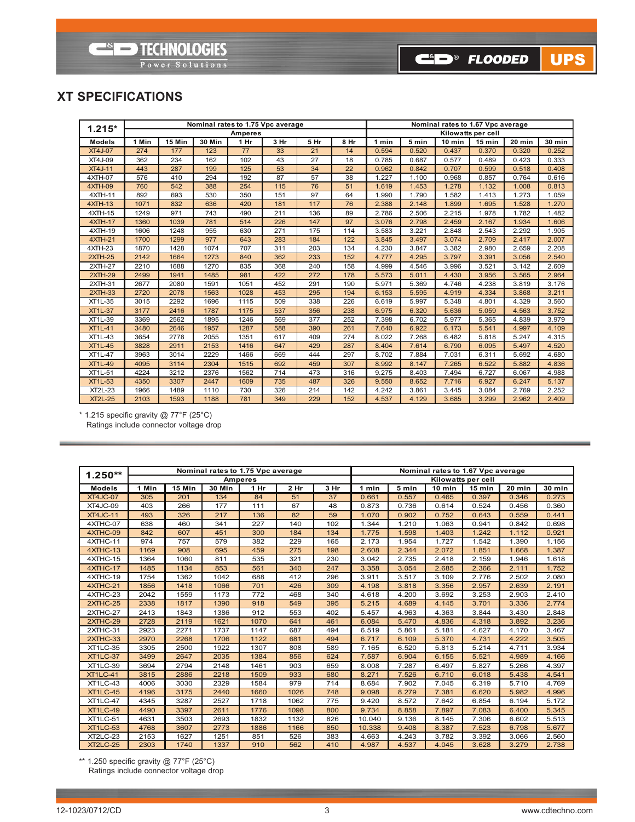# **ELECTROLOGIES**

Power Solutions

CO® FLOODED UPS

## **XT SPECIFICATIONS**

| $1.215*$       |       |        | Nominal rates to 1.75 Vpc average |                |      | Nominal rates to 1.67 Vpc average |      |       |       |          |                    |        |        |
|----------------|-------|--------|-----------------------------------|----------------|------|-----------------------------------|------|-------|-------|----------|--------------------|--------|--------|
|                |       |        |                                   | <b>Amperes</b> |      |                                   |      |       |       |          | Kilowatts per cell |        |        |
| <b>Models</b>  | 1 Min | 15 Min | <b>30 Min</b>                     | 1 Hr           | 3 Hr | 5 Hr                              | 8 Hr | 1 min | 5 min | $10$ min | 15 min             | 20 min | 30 min |
| <b>XT4J-07</b> | 274   | 177    | 123                               | 77             | 33   | 21                                | 14   | 0.594 | 0.520 | 0.437    | 0.370              | 0.320  | 0.252  |
| <b>XT4J-09</b> | 362   | 234    | 162                               | 102            | 43   | 27                                | 18   | 0.785 | 0.687 | 0.577    | 0.489              | 0.423  | 0.333  |
| <b>XT4J-11</b> | 443   | 287    | 199                               | 125            | 53   | 34                                | 22   | 0.962 | 0.842 | 0.707    | 0.599              | 0.518  | 0.408  |
| 4XTH-07        | 576   | 410    | 294                               | 192            | 87   | 57                                | 38   | 1.227 | 1.100 | 0.968    | 0.857              | 0.764  | 0.616  |
| 4XTH-09        | 760   | 542    | 388                               | 254            | 115  | 76                                | 51   | 1.619 | 1.453 | 1.278    | 1.132              | 1.008  | 0.813  |
| 4XTH-11        | 892   | 693    | 530                               | 350            | 151  | 97                                | 64   | 1.990 | 1.790 | 1.582    | 1.413              | 1.273  | 1.059  |
| <b>4XTH-13</b> | 1071  | 832    | 636                               | 420            | 181  | 117                               | 76   | 2.388 | 2.148 | 1.899    | 1.695              | 1.528  | 1.270  |
| 4XTH-15        | 1249  | 971    | 743                               | 490            | 211  | 136                               | 89   | 2.786 | 2.506 | 2.215    | 1.978              | 1.782  | 1.482  |
| 4XTH-17        | 1360  | 1039   | 781                               | 514            | 226  | 147                               | 97   | 3.076 | 2.798 | 2.459    | 2.167              | 1.934  | 1.606  |
| $4XTH-19$      | 1606  | 1248   | 955                               | 630            | 271  | 175                               | 114  | 3.583 | 3.221 | 2.848    | 2.543              | 2.292  | 1.905  |
| <b>4XTH-21</b> | 1700  | 1299   | 977                               | 643            | 283  | 184                               | 122  | 3.845 | 3.497 | 3.074    | 2.709              | 2.417  | 2.007  |
| 4XTH-23        | 1870  | 1428   | 1074                              | 707            | 311  | 203                               | 134  | 4.230 | 3.847 | 3.382    | 2.980              | 2.659  | 2.208  |
| <b>2XTH-25</b> | 2142  | 1664   | 1273                              | 840            | 362  | 233                               | 152  | 4.777 | 4.295 | 3.797    | 3.391              | 3.056  | 2.540  |
| 2XTH-27        | 2210  | 1688   | 1270                              | 835            | 368  | 240                               | 158  | 4.999 | 4.546 | 3.996    | 3.521              | 3.142  | 2.609  |
| <b>2XTH-29</b> | 2499  | 1941   | 1485                              | 981            | 422  | 272                               | 178  | 5.573 | 5.011 | 4.430    | 3.956              | 3.565  | 2.964  |
| 2XTH-31        | 2677  | 2080   | 1591                              | 1051           | 452  | 291                               | 190  | 5.971 | 5.369 | 4.746    | 4.238              | 3.819  | 3.176  |
| $2XTH-33$      | 2720  | 2078   | 1563                              | 1028           | 453  | 295                               | 194  | 6.153 | 5.595 | 4.919    | 4.334              | 3.868  | 3.211  |
| XT1L-35        | 3015  | 2292   | 1696                              | 1115           | 509  | 338                               | 226  | 6.619 | 5.997 | 5.348    | 4.801              | 4.329  | 3.560  |
| <b>XT1L-37</b> | 3177  | 2416   | 1787                              | 1175           | 537  | 356                               | 238  | 6.975 | 6.320 | 5.636    | 5.059              | 4.563  | 3.752  |
| XT1L-39        | 3369  | 2562   | 1895                              | 1246           | 569  | 377                               | 252  | 7.398 | 6.702 | 5.977    | 5.365              | 4.839  | 3.979  |
| <b>XT1L-41</b> | 3480  | 2646   | 1957                              | 1287           | 588  | 390                               | 261  | 7.640 | 6.922 | 6.173    | 5.541              | 4.997  | 4.109  |
| <b>XT1L-43</b> | 3654  | 2778   | 2055                              | 1351           | 617  | 409                               | 274  | 8.022 | 7.268 | 6.482    | 5.818              | 5.247  | 4.315  |
| <b>XT1L-45</b> | 3828  | 2911   | 2153                              | 1416           | 647  | 429                               | 287  | 8.404 | 7.614 | 6.790    | 6.095              | 5.497  | 4.520  |
| <b>XT1L-47</b> | 3963  | 3014   | 2229                              | 1466           | 669  | 444                               | 297  | 8.702 | 7.884 | 7.031    | 6.311              | 5.692  | 4.680  |
| <b>XT1L-49</b> | 4095  | 3114   | 2304                              | 1515           | 692  | 459                               | 307  | 8.992 | 8.147 | 7.265    | 6.522              | 5.882  | 4.836  |
| XT1L-51        | 4224  | 3212   | 2376                              | 1562           | 714  | 473                               | 316  | 9.275 | 8.403 | 7.494    | 6.727              | 6.067  | 4.988  |
| <b>XT1L-53</b> | 4350  | 3307   | 2447                              | 1609           | 735  | 487                               | 326  | 9.550 | 8.652 | 7.716    | 6.927              | 6.247  | 5.137  |
| <b>XT2L-23</b> | 1966  | 1489   | 1110                              | 730            | 326  | 214                               | 142  | 4.242 | 3.861 | 3.445    | 3.084              | 2.769  | 2.252  |
| <b>XT2L-25</b> | 2103  | 1593   | 1188                              | 781            | 349  | 229                               | 152  | 4.537 | 4.129 | 3.685    | 3.299              | 2.962  | 2.409  |

 $*$  1.215 specific gravity @ 77°F (25°C) Ratings include connector voltage drop

| $1.250**$       |       |        | Nominal rates to 1.75 Vpc average |                |      |      | Nominal rates to 1.67 Vpc average                                 |       |       |       |       |       |  |  |
|-----------------|-------|--------|-----------------------------------|----------------|------|------|-------------------------------------------------------------------|-------|-------|-------|-------|-------|--|--|
|                 |       |        |                                   | <b>Amperes</b> |      |      | Kilowatts per cell                                                |       |       |       |       |       |  |  |
| <b>Models</b>   | 1 Min | 15 Min | <b>30 Min</b>                     | 1 Hr           | 2 Hr | 3 Hr | 5 min<br>20 min<br>1 min<br>$10$ min<br>$15$ min<br><b>30 min</b> |       |       |       |       |       |  |  |
| <b>XT4JC-07</b> | 305   | 201    | 134                               | 84             | 51   | 37   | 0.661                                                             | 0.557 | 0.465 | 0.397 | 0.346 | 0.273 |  |  |
| XT4JC-09        | 403   | 266    | 177                               | 111            | 67   | 48   | 0.873                                                             | 0.736 | 0.614 | 0.524 | 0.456 | 0.360 |  |  |
| <b>XT4JC-11</b> | 493   | 326    | 217                               | 136            | 82   | 59   | 1.070                                                             | 0.902 | 0.752 | 0.643 | 0.559 | 0.441 |  |  |
| 4XTHC-07        | 638   | 460    | 341                               | 227            | 140  | 102  | 1.344                                                             | 1.210 | 1.063 | 0.941 | 0.842 | 0.698 |  |  |
| 4XTHC-09        | 842   | 607    | 451                               | 300            | 184  | 134  | 1.775                                                             | 1.598 | 1.403 | 1.242 | 1.112 | 0.921 |  |  |
| 4XTHC-11        | 974   | 757    | 579                               | 382            | 229  | 165  | 2.173                                                             | 1.954 | 1.727 | 1.542 | 1.390 | 1.156 |  |  |
| 4XTHC-13        | 1169  | 908    | 695                               | 459            | 275  | 198  | 2.608                                                             | 2.344 | 2.072 | 1.851 | 1.668 | 1.387 |  |  |
| 4XTHC-15        | 1364  | 1060   | 811                               | 535            | 321  | 230  | 3.042                                                             | 2.735 | 2.418 | 2.159 | 1.946 | 1.618 |  |  |
| 4XTHC-17        | 1485  | 1134   | 853                               | 561            | 340  | 247  | 3.358                                                             | 3.054 | 2.685 | 2.366 | 2.111 | 1.752 |  |  |
| 4XTHC-19        | 1754  | 1362   | 1042                              | 688            | 412  | 296  | 3.911                                                             | 3.517 | 3.109 | 2.776 | 2.502 | 2.080 |  |  |
| 4XTHC-21        | 1856  | 1418   | 1066                              | 701            | 426  | 309  | 4.198                                                             | 3.818 | 3.356 | 2.957 | 2.639 | 2.191 |  |  |
| 4XTHC-23        | 2042  | 1559   | 1173                              | 772            | 468  | 340  | 4.618                                                             | 4.200 | 3.692 | 3.253 | 2.903 | 2.410 |  |  |
| 2XTHC-25        | 2338  | 1817   | 1390                              | 918            | 549  | 395  | 5.215                                                             | 4.689 | 4.145 | 3.701 | 3.336 | 2.774 |  |  |
| 2XTHC-27        | 2413  | 1843   | 1386                              | 912            | 553  | 402  | 5.457                                                             | 4.963 | 4.363 | 3.844 | 3.430 | 2.848 |  |  |
| 2XTHC-29        | 2728  | 2119   | 1621                              | 1070           | 641  | 461  | 6.084                                                             | 5.470 | 4.836 | 4.318 | 3.892 | 3.236 |  |  |
| 2XTHC-31        | 2923  | 2271   | 1737                              | 1147           | 687  | 494  | 6.519                                                             | 5.861 | 5.181 | 4.627 | 4.170 | 3.467 |  |  |
| 2XTHC-33        | 2970  | 2268   | 1706                              | 1122           | 681  | 494  | 6.717                                                             | 6.109 | 5.370 | 4.731 | 4.222 | 3.505 |  |  |
| <b>XT1LC-35</b> | 3305  | 2500   | 1922                              | 1307           | 808  | 589  | 7.165                                                             | 6.520 | 5.813 | 5.214 | 4.711 | 3.934 |  |  |
| <b>XT1LC-37</b> | 3499  | 2647   | 2035                              | 1384           | 856  | 624  | 7.587                                                             | 6.904 | 6.155 | 5.521 | 4.989 | 4.166 |  |  |
| <b>XT1LC-39</b> | 3694  | 2794   | 2148                              | 1461           | 903  | 659  | 8.008                                                             | 7.287 | 6.497 | 5.827 | 5.266 | 4.397 |  |  |
| <b>XT1LC-41</b> | 3815  | 2886   | 2218                              | 1509           | 933  | 680  | 8.271                                                             | 7.526 | 6.710 | 6.018 | 5.438 | 4.541 |  |  |
| <b>XT1LC-43</b> | 4006  | 3030   | 2329                              | 1584           | 979  | 714  | 8.684                                                             | 7.902 | 7.045 | 6.319 | 5.710 | 4.769 |  |  |
| <b>XT1LC-45</b> | 4196  | 3175   | 2440                              | 1660           | 1026 | 748  | 9.098                                                             | 8.279 | 7.381 | 6.620 | 5.982 | 4.996 |  |  |
| <b>XT1LC-47</b> | 4345  | 3287   | 2527                              | 1718           | 1062 | 775  | 9.420                                                             | 8.572 | 7.642 | 6.854 | 6.194 | 5.172 |  |  |
| <b>XT1LC-49</b> | 4490  | 3397   | 2611                              | 1776           | 1098 | 800  | 9.734                                                             | 8.858 | 7.897 | 7.083 | 6.400 | 5.345 |  |  |
| <b>XT1LC-51</b> | 4631  | 3503   | 2693                              | 1832           | 1132 | 826  | 10.040                                                            | 9.136 | 8.145 | 7.306 | 6.602 | 5.513 |  |  |
| <b>XT1LC-53</b> | 4768  | 3607   | 2773                              | 1886           | 1166 | 850  | 10.338                                                            | 9.408 | 8.387 | 7.523 | 6.798 | 5.677 |  |  |
| <b>XT2LC-23</b> | 2153  | 1627   | 1251                              | 851            | 526  | 383  | 4.663                                                             | 4.243 | 3.782 | 3.392 | 3.066 | 2.560 |  |  |
| <b>XT2LC-25</b> | 2303  | 1740   | 1337                              | 910            | 562  | 410  | 4.987                                                             | 4.537 | 4.045 | 3.628 | 3.279 | 2.738 |  |  |

\*\* 1.250 specific gravity @ 77°f (25°C) Ratings include connector voltage drop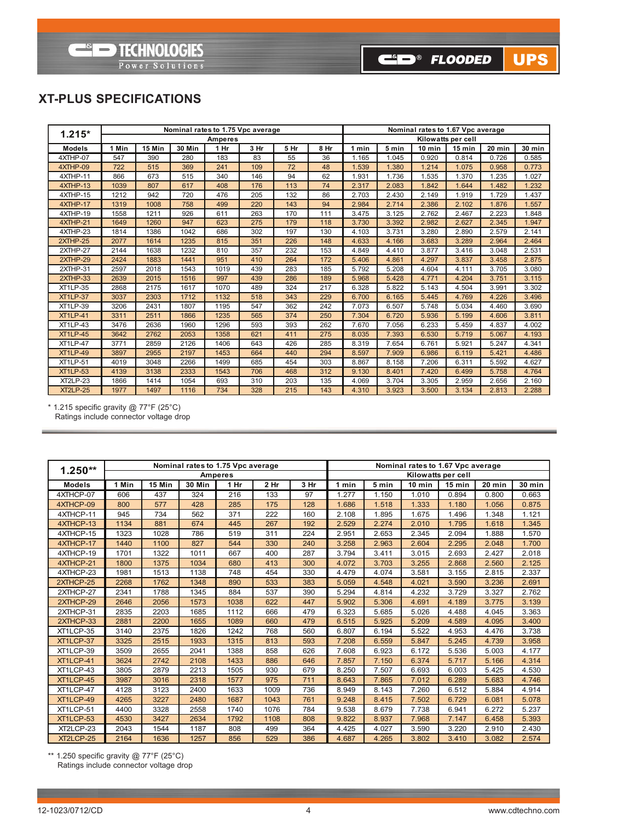**ESED TECHNOLOGIES** Power Solutions

## **XT-PLUS SPECIFICATIONS**

| $1.215*$        |       |        |               |                | Nominal rates to 1.75 Vpc average |      | Nominal rates to 1.67 Vpc average |       |       |        |                    |        |               |  |
|-----------------|-------|--------|---------------|----------------|-----------------------------------|------|-----------------------------------|-------|-------|--------|--------------------|--------|---------------|--|
|                 |       |        |               | <b>Amperes</b> |                                   |      |                                   |       |       |        | Kilowatts per cell |        |               |  |
| <b>Models</b>   | 1 Min | 15 Min | <b>30 Min</b> | 1 Hr           | 3 Hr                              | 5 Hr | 8 Hr                              | 1 min | 5 min | 10 min | 15 min             | 20 min | <b>30 min</b> |  |
| 4XTHP-07        | 547   | 390    | 280           | 183            | 83                                | 55   | 36                                | 1.165 | 1.045 | 0.920  | 0.814              | 0.726  | 0.585         |  |
| 4XTHP-09        | 722   | 515    | 369           | 241            | 109                               | 72   | 48                                | 1.539 | 1.380 | 1.214  | 1.075              | 0.958  | 0.773         |  |
| 4XTHP-11        | 866   | 673    | 515           | 340            | 146                               | 94   | 62                                | 1.931 | 1.736 | 1.535  | 1.370              | 1.235  | 1.027         |  |
| 4XTHP-13        | 1039  | 807    | 617           | 408            | 176                               | 113  | 74                                | 2.317 | 2.083 | 1.842  | 1.644              | 1.482  | 1.232         |  |
| 4XTHP-15        | 1212  | 942    | 720           | 476            | 205                               | 132  | 86                                | 2.703 | 2.430 | 2.149  | 1.919              | 1.729  | 1.437         |  |
| 4XTHP-17        | 1319  | 1008   | 758           | 499            | 220                               | 143  | 94                                | 2.984 | 2.714 | 2.386  | 2.102              | 1.876  | 1.557         |  |
| 4XTHP-19        | 1558  | 1211   | 926           | 611            | 263                               | 170  | 111                               | 3.475 | 3.125 | 2.762  | 2.467              | 2.223  | 1.848         |  |
| 4XTHP-21        | 1649  | 1260   | 947           | 623            | 275                               | 179  | 118                               | 3.730 | 3.392 | 2.982  | 2.627              | 2.345  | 1.947         |  |
| 4XTHP-23        | 1814  | 1386   | 1042          | 686            | 302                               | 197  | 130                               | 4.103 | 3.731 | 3.280  | 2.890              | 2.579  | 2.141         |  |
| $2XTHP-25$      | 2077  | 1614   | 1235          | 815            | 351                               | 226  | 148                               | 4.633 | 4.166 | 3.683  | 3.289              | 2.964  | 2.464         |  |
| 2XTHP-27        | 2144  | 1638   | 1232          | 810            | 357                               | 232  | 153                               | 4.849 | 4.410 | 3.877  | 3.416              | 3.048  | 2.531         |  |
| $2XTHP-29$      | 2424  | 1883   | 1441          | 951            | 410                               | 264  | 172                               | 5.406 | 4.861 | 4.297  | 3.837              | 3.458  | 2.875         |  |
| 2XTHP-31        | 2597  | 2018   | 1543          | 1019           | 439                               | 283  | 185                               | 5.792 | 5.208 | 4.604  | 4.111              | 3.705  | 3.080         |  |
| 2XTHP-33        | 2639  | 2015   | 1516          | 997            | 439                               | 286  | 189                               | 5.968 | 5.428 | 4.771  | 4.204              | 3.751  | 3.115         |  |
| <b>XT1LP-35</b> | 2868  | 2175   | 1617          | 1070           | 489                               | 324  | 217                               | 6.328 | 5.822 | 5.143  | 4.504              | 3.991  | 3.302         |  |
| <b>XT1LP-37</b> | 3037  | 2303   | 1712          | 1132           | 518                               | 343  | 229                               | 6.700 | 6.165 | 5.445  | 4.769              | 4.226  | 3.496         |  |
| <b>XT1LP-39</b> | 3206  | 2431   | 1807          | 1195           | 547                               | 362  | 242                               | 7.073 | 6.507 | 5.748  | 5.034              | 4.460  | 3.690         |  |
| <b>XT1LP-41</b> | 3311  | 2511   | 1866          | 1235           | 565                               | 374  | 250                               | 7.304 | 6.720 | 5.936  | 5.199              | 4.606  | 3.811         |  |
| <b>XT1LP-43</b> | 3476  | 2636   | 1960          | 1296           | 593                               | 393  | 262                               | 7.670 | 7.056 | 6.233  | 5.459              | 4.837  | 4.002         |  |
| <b>XT1LP-45</b> | 3642  | 2762   | 2053          | 1358           | 621                               | 411  | 275                               | 8.035 | 7.393 | 6.530  | 5.719              | 5.067  | 4.193         |  |
| <b>XT1LP-47</b> | 3771  | 2859   | 2126          | 1406           | 643                               | 426  | 285                               | 8.319 | 7.654 | 6.761  | 5.921              | 5.247  | 4.341         |  |
| <b>XT1LP-49</b> | 3897  | 2955   | 2197          | 1453           | 664                               | 440  | 294                               | 8.597 | 7.909 | 6.986  | 6.119              | 5.421  | 4.486         |  |
| <b>XT1LP-51</b> | 4019  | 3048   | 2266          | 1499           | 685                               | 454  | 303                               | 8.867 | 8.158 | 7.206  | 6.311              | 5.592  | 4.627         |  |
| <b>XT1LP-53</b> | 4139  | 3138   | 2333          | 1543           | 706                               | 468  | 312                               | 9.130 | 8.401 | 7.420  | 6.499              | 5.758  | 4.764         |  |
| <b>XT2LP-23</b> | 1866  | 1414   | 1054          | 693            | 310                               | 203  | 135                               | 4.069 | 3.704 | 3.305  | 2.959              | 2.656  | 2.160         |  |
| <b>XT2LP-25</b> | 1977  | 1497   | 1116          | 734            | 328                               | 215  | 143                               | 4.310 | 3.923 | 3.500  | 3.134              | 2.813  | 2.288         |  |

\* 1.215 specific gravity @ 77°f (25°C) Ratings include connector voltage drop

|               |       |        |               | Nominal rates to 1.75 Vpc average |      |      |                                                               |       | Nominal rates to 1.67 Vpc average |                    |       |       |  |
|---------------|-------|--------|---------------|-----------------------------------|------|------|---------------------------------------------------------------|-------|-----------------------------------|--------------------|-------|-------|--|
| $1.250**$     |       |        |               | <b>Amperes</b>                    |      |      |                                                               |       |                                   | Kilowatts per cell |       |       |  |
| <b>Models</b> | 1 Min | 15 Min | <b>30 Min</b> | 1 Hr                              | 2 Hr | 3 Hr | 5 min<br>20 min<br>10 min<br>15 min<br><b>30 min</b><br>1 min |       |                                   |                    |       |       |  |
| 4XTHCP-07     | 606   | 437    | 324           | 216                               | 133  | 97   | 1.277                                                         | 1.150 | 1.010                             | 0.894              | 0.800 | 0.663 |  |
| 4XTHCP-09     | 800   | 577    | 428           | 285                               | 175  | 128  | 1.686                                                         | 1.518 | 1.333                             | 1.180              | 1.056 | 0.875 |  |
| 4XTHCP-11     | 945   | 734    | 562           | 371                               | 222  | 160  | 2.108                                                         | 1.895 | 1.675                             | 1.496              | 1.348 | 1.121 |  |
| 4XTHCP-13     | 1134  | 881    | 674           | 445                               | 267  | 192  | 2.529                                                         | 2.274 | 2.010                             | 1.795              | 1.618 | 1.345 |  |
| 4XTHCP-15     | 1323  | 1028   | 786           | 519                               | 311  | 224  | 2.951                                                         | 2.653 | 2.345                             | 2.094              | 1.888 | 1.570 |  |
| 4XTHCP-17     | 1440  | 1100   | 827           | 544                               | 330  | 240  | 3.258                                                         | 2.963 | 2.604                             | 2.295              | 2.048 | 1.700 |  |
| 4XTHCP-19     | 1701  | 1322   | 1011          | 667                               | 400  | 287  | 3.794                                                         | 3.411 | 3.015                             | 2.693              | 2.427 | 2.018 |  |
| 4XTHCP-21     | 1800  | 1375   | 1034          | 680                               | 413  | 300  | 4.072                                                         | 3.703 | 3.255                             | 2.868              | 2.560 | 2.125 |  |
| 4XTHCP-23     | 1981  | 1513   | 1138          | 748                               | 454  | 330  | 4.479                                                         | 4.074 | 3.581                             | 3.155              | 2.815 | 2.337 |  |
| 2XTHCP-25     | 2268  | 1762   | 1348          | 890                               | 533  | 383  | 5.059                                                         | 4.548 | 4.021                             | 3.590              | 3.236 | 2.691 |  |
| 2XTHCP-27     | 2341  | 1788   | 1345          | 884                               | 537  | 390  | 5.294                                                         | 4.814 | 4.232                             | 3.729              | 3.327 | 2.762 |  |
| 2XTHCP-29     | 2646  | 2056   | 1573          | 1038                              | 622  | 447  | 5.902                                                         | 5.306 | 4.691                             | 4.189              | 3.775 | 3.139 |  |
| 2XTHCP-31     | 2835  | 2203   | 1685          | 1112                              | 666  | 479  | 6.323                                                         | 5.685 | 5.026                             | 4.488              | 4.045 | 3.363 |  |
| 2XTHCP-33     | 2881  | 2200   | 1655          | 1089                              | 660  | 479  | 6.515                                                         | 5.925 | 5.209                             | 4.589              | 4.095 | 3.400 |  |
| XT1LCP-35     | 3140  | 2375   | 1826          | 1242                              | 768  | 560  | 6.807                                                         | 6.194 | 5.522                             | 4.953              | 4.476 | 3.738 |  |
| XT1LCP-37     | 3325  | 2515   | 1933          | 1315                              | 813  | 593  | 7.208                                                         | 6.559 | 5.847                             | 5.245              | 4.739 | 3.958 |  |
| XT1LCP-39     | 3509  | 2655   | 2041          | 1388                              | 858  | 626  | 7.608                                                         | 6.923 | 6.172                             | 5.536              | 5.003 | 4.177 |  |
| XT1LCP-41     | 3624  | 2742   | 2108          | 1433                              | 886  | 646  | 7.857                                                         | 7.150 | 6.374                             | 5.717              | 5.166 | 4.314 |  |
| XT1LCP-43     | 3805  | 2879   | 2213          | 1505                              | 930  | 679  | 8.250                                                         | 7.507 | 6.693                             | 6.003              | 5.425 | 4.530 |  |
| XT1LCP-45     | 3987  | 3016   | 2318          | 1577                              | 975  | 711  | 8.643                                                         | 7.865 | 7.012                             | 6.289              | 5.683 | 4.746 |  |
| XT1LCP-47     | 4128  | 3123   | 2400          | 1633                              | 1009 | 736  | 8.949                                                         | 8.143 | 7.260                             | 6.512              | 5.884 | 4.914 |  |
| XT1LCP-49     | 4265  | 3227   | 2480          | 1687                              | 1043 | 761  | 9.248                                                         | 8.415 | 7.502                             | 6.729              | 6.081 | 5.078 |  |
| XT1LCP-51     | 4400  | 3328   | 2558          | 1740                              | 1076 | 784  | 9.538                                                         | 8.679 | 7.738                             | 6.941              | 6.272 | 5.237 |  |
| XT1LCP-53     | 4530  | 3427   | 2634          | 1792                              | 1108 | 808  | 9.822                                                         | 8.937 | 7.968                             | 7.147              | 6.458 | 5.393 |  |
| XT2LCP-23     | 2043  | 1544   | 1187          | 808                               | 499  | 364  | 4.425                                                         | 4.027 | 3.590                             | 3.220              | 2.910 | 2.430 |  |
| XT2LCP-25     | 2164  | 1636   | 1257          | 856                               | 529  | 386  | 4.687                                                         | 4.265 | 3.802                             | 3.410              | 3.082 | 2.574 |  |

\*\* 1.250 specific gravity @ 77°f (25°C) Ratings include connector voltage drop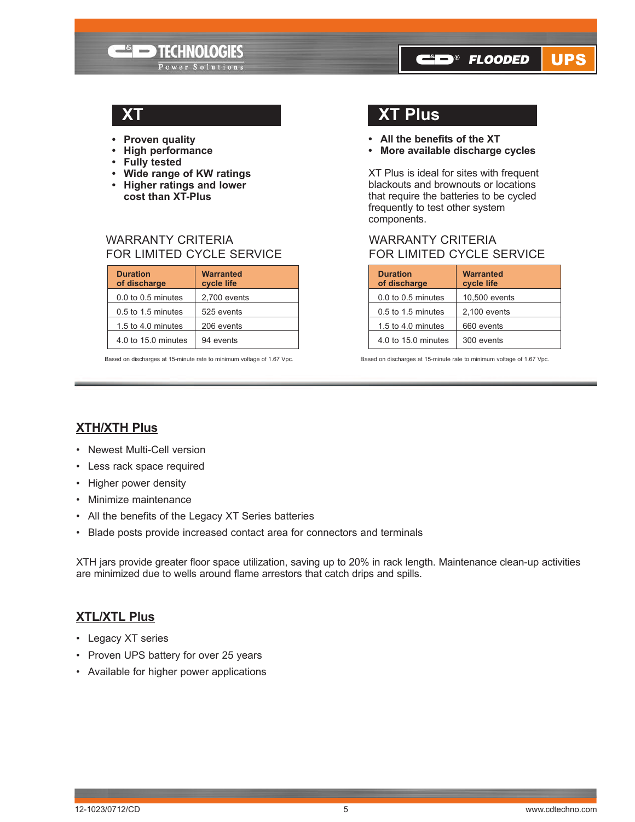- **• Proven quality**
- **• High performance**
- **• Fully tested**
- **• Wide range of KW ratings**

**ELECTROLOGIES** 

Power Solutions

- **• Higher ratings and lower cost than XT-Plus**
- WARRANTY CRITERIA

### FOR LIMITED CYCLE SERVICE

| <b>Duration</b><br>of discharge | <b>Warranted</b><br>cycle life |
|---------------------------------|--------------------------------|
| $0.0$ to $0.5$ minutes          | 2,700 events                   |
| $0.5$ to 1.5 minutes            | 525 events                     |
| 1.5 to 4.0 minutes              | 206 events                     |
| 4.0 to 15.0 minutes             | 94 events                      |

Based on discharges at 15-minute rate to minimum voltage of 1.67 vpc. Based on discharges at 15-minute rate to minimum voltage of 1.67 vpc.

## **XT XT Plus**

- **• All the benefits of the XT**
- **• More available discharge cycles**

**C**in<sup>®</sup> Flooded

UPS

XT Plus is ideal for sites with frequent blackouts and brownouts or locations that require the batteries to be cycled frequently to test other system components.

## WARRANTY CRITERIA FOR LIMITED CYCLE SERVICE

| <b>Duration</b><br>of discharge | <b>Warranted</b><br>cycle life |
|---------------------------------|--------------------------------|
| 0.0 to 0.5 minutes              | 10,500 events                  |
| 0.5 to 1.5 minutes              | $2,100$ events                 |
| 1.5 to 4.0 minutes              | 660 events                     |
| 4.0 to 15.0 minutes             | 300 events                     |

## **XTH/XTH Plus**

- Newest Multi-Cell version
- Less rack space required
- Higher power density
- Minimize maintenance
- All the benefits of the Legacy XT Series batteries
- Blade posts provide increased contact area for connectors and terminals

XTH jars provide greater floor space utilization, saving up to 20% in rack length. Maintenance clean-up activities are minimized due to wells around flame arrestors that catch drips and spills.

## **XTL/XTL Plus**

- Legacy XT series
- Proven UPS battery for over 25 years
- Available for higher power applications